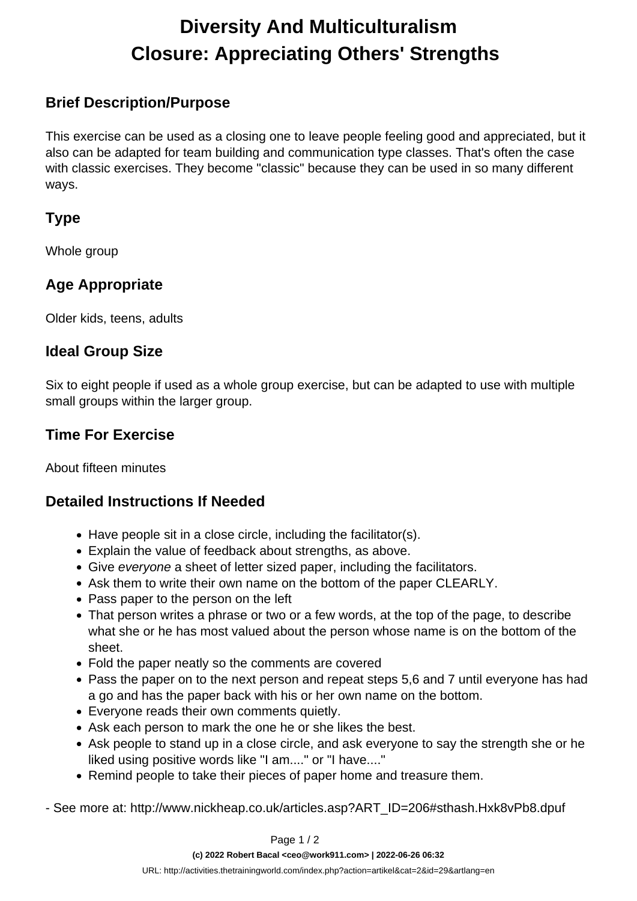# **Diversity And Multiculturalism Closure: Appreciating Others' Strengths**

#### **Brief Description/Purpose**

This exercise can be used as a closing one to leave people feeling good and appreciated, but it also can be adapted for team building and communication type classes. That's often the case with classic exercises. They become "classic" because they can be used in so many different ways.

#### **Type**

Whole group

## **Age Appropriate**

Older kids, teens, adults

#### **Ideal Group Size**

Six to eight people if used as a whole group exercise, but can be adapted to use with multiple small groups within the larger group.

#### **Time For Exercise**

About fifteen minutes

#### **Detailed Instructions If Needed**

- Have people sit in a close circle, including the facilitator(s).
- Explain the value of feedback about strengths, as above.
- Give everyone a sheet of letter sized paper, including the facilitators.
- Ask them to write their own name on the bottom of the paper CLEARLY.
- Pass paper to the person on the left
- That person writes a phrase or two or a few words, at the top of the page, to describe what she or he has most valued about the person whose name is on the bottom of the sheet.
- Fold the paper neatly so the comments are covered
- Pass the paper on to the next person and repeat steps 5,6 and 7 until everyone has had a go and has the paper back with his or her own name on the bottom.
- Everyone reads their own comments quietly.
- Ask each person to mark the one he or she likes the best.
- Ask people to stand up in a close circle, and ask everyone to say the strength she or he liked using positive words like "I am...." or "I have...."
- Remind people to take their pieces of paper home and treasure them.

- See more at: http://www.nickheap.co.uk/articles.asp?ART\_ID=206#sthash.Hxk8vPb8.dpuf